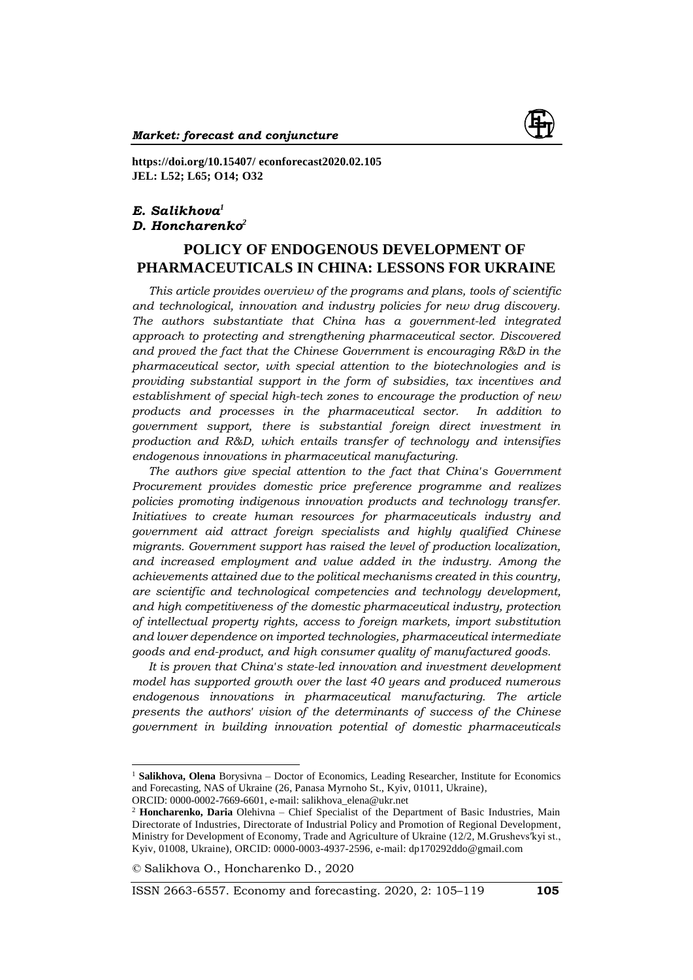

**https://doi.org/10.15407/ econforecast2020.02.105 JEL: L52; L65; O14; O32**

## *E. Salikhova<sup>1</sup> D. Honcharenko<sup>2</sup>*

# **POLICY OF ENDOGENOUS DEVELOPMENT OF PHARMACEUTICALS IN CHINA: LESSONS FOR UKRAINE**

*This article provides overview of the programs and plans, tools of scientific and technological, innovation and industry policies for new drug discovery. The authors substantiate that China has a government-led integrated approach to protecting and strengthening pharmaceutical sector. Discovered and proved the fact that the Chinese Government is encouraging R&D in the pharmaceutical sector, with special attention to the biotechnologies and is providing substantial support in the form of subsidies, tax incentives and establishment of special high-tech zones to encourage the production of new products and processes in the pharmaceutical sector. In addition to government support, there is substantial foreign direct investment in production and R&D, which entails transfer of technology and intensifies endogenous innovations in pharmaceutical manufacturing.* 

*The authors give special attention to the fact that China's Government Procurement provides domestic price preference programme and realizes policies promoting indigenous innovation products and technology transfer. Initiatives to create human resources for pharmaceuticals industry and government aid attract foreign specialists and highly qualified Chinese migrants. Government support has raised the level of production localization, and increased employment and value added in the industry. Among the achievements attained due to the political mechanisms created in this country, are scientific and technological competencies and technology development, and high competitiveness of the domestic pharmaceutical industry, protection of intellectual property rights, access to foreign markets, import substitution and lower dependence on imported technologies, pharmaceutical intermediate goods and end-product, and high consumer quality of manufactured goods.* 

*It is proven that China's state-led innovation and investment development model has supported growth over the last 40 years and produced numerous endogenous innovations in pharmaceutical manufacturing. The article presents the authors' vision of the determinants of success of the Chinese government in building innovation potential of domestic pharmaceuticals* 

*©* Salikhova O., Honcharenko D., 2020

 $\overline{a}$ 

ISSN 2663-6557. Economy and forecasting. 2020, 2: 105–119 **105**

<sup>&</sup>lt;sup>1</sup> **Salikhova, Olena** Borysivna – Doctor of Economics, Leading Researcher, Institute for Economics and Forecasting, NAS of Ukraine (26, Panasa Myrnoho St., Kyiv, 01011, Ukraine), ORCID: 0000-0002-7669-6601, е-mail: salikhova\_elena@ukr.net

<sup>2</sup> **Honcharenko, Daria** Olehivna – Chief Specialist of the Department of Basic Industries, Main Directorate of Industries, Directorate of Industrial Policy and Promotion of Regional Development, Ministry for Development of Economy, Trade and Agriculture of Ukraine (12/2, M.Grushevs′kyi st., Kyiv, 01008, Ukraine), ORCID: 0000-0003-4937-2596, е-mail: dp170292ddo@gmail.com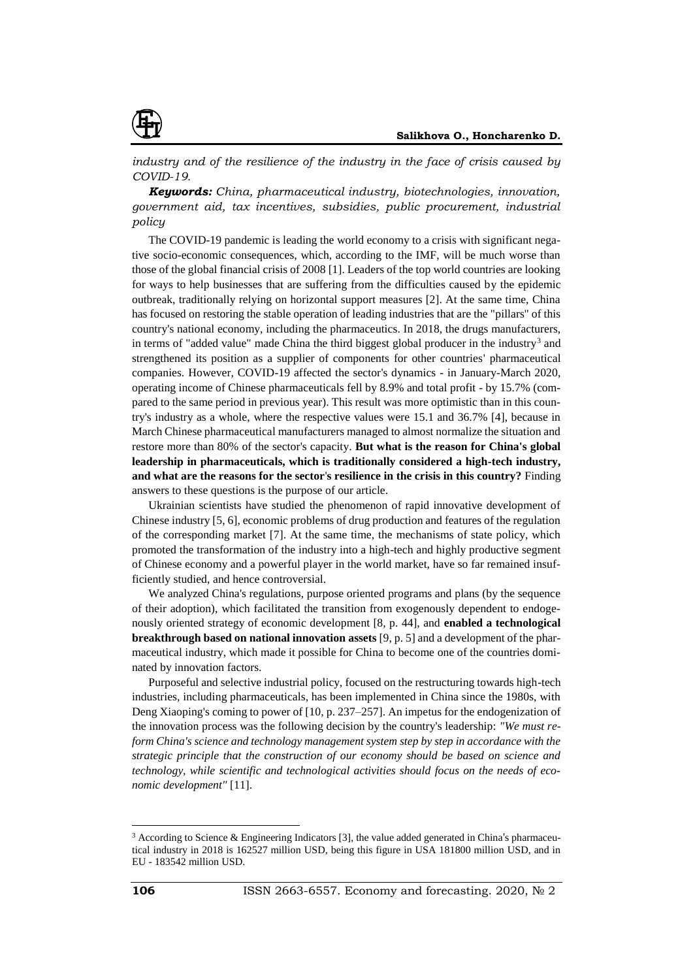

*industry and of the resilience of the industry in the face of crisis caused by COVID-19.*

*Keywords: China, pharmaceutical industry, biotechnologies, innovation, government aid, tax incentives, subsidies, public procurement, industrial policy*

The COVID-19 pandemic is leading the world economy to a crisis with significant negative socio-economic consequences, which, according to the IMF, will be much worse than those of the global financial crisis of 2008 [1]. Leaders of the top world countries are looking for ways to help businesses that are suffering from the difficulties caused by the epidemic outbreak, traditionally relying on horizontal support measures [2]. At the same time, China has focused on restoring the stable operation of leading industries that are the "pillars" of this country's national economy, including the pharmaceutics. In 2018, the drugs manufacturers, in terms of "added value" made China the third biggest global producer in the industry<sup>3</sup> and strengthened its position as a supplier of components for other countries' pharmaceutical companies. However, COVID-19 affected the sector's dynamics - in January-March 2020, operating income of Chinese pharmaceuticals fell by 8.9% and total profit - by 15.7% (compared to the same period in previous year). This result was more optimistic than in this country's industry as a whole, where the respective values were 15.1 and 36.7% [4], because in March Chinese pharmaceutical manufacturers managed to almost normalize the situation and restore more than 80% of the sector's capacity. **But what is the reason for China's global leadership in pharmaceuticals, which is traditionally considered a high-tech industry, and what are the reasons for the sector**'**s resilience in the crisis in this country?** Finding answers to these questions is the purpose of our article.

Ukrainian scientists have studied the phenomenon of rapid innovative development of Chinese industry [5, 6], economic problems of drug production and features of the regulation of the corresponding market [7]. At the same time, the mechanisms of state policy, which promoted the transformation of the industry into a high-tech and highly productive segment of Chinese economy and a powerful player in the world market, have so far remained insufficiently studied, and hence controversial.

We analyzed China's regulations, purpose oriented programs and plans (by the sequence of their adoption), which facilitated the transition from exogenously dependent to endogenously oriented strategy of economic development [8, p. 44], and **enabled a technological breakthrough based on national innovation assets** [9, p. 5] and a development of the pharmaceutical industry, which made it possible for China to become one of the countries dominated by innovation factors.

Purposeful and selective industrial policy, focused on the restructuring towards high-tech industries, including pharmaceuticals, has been implemented in China since the 1980s, with Deng Xiaoping's coming to power of [10, p. 237–257]. An impetus for the endogenization of the innovation process was the following decision by the country's leadership: *"We must reform China's science and technology management system step by step in accordance with the strategic principle that the construction of our economy should be based on science and technology, while scientific and technological activities should focus on the needs of economic development"* [11].

<sup>&</sup>lt;sup>3</sup> According to Science & Engineering Indicators [3], the value added generated in China's pharmaceutical industry in 2018 is 162527 million USD, being this figure in USA 181800 million USD, and in EU - 183542 million USD.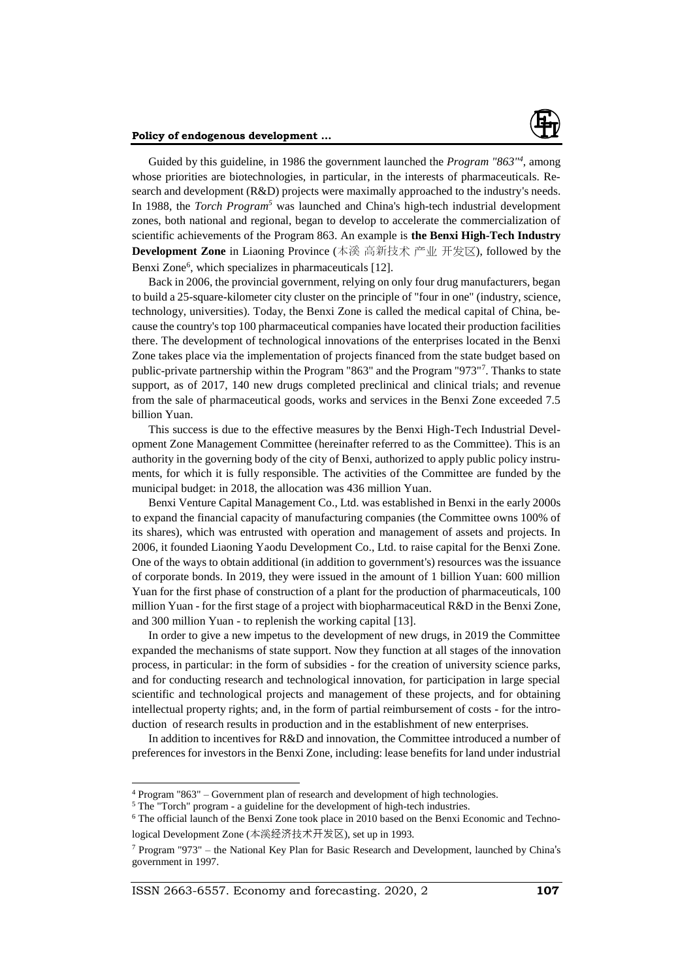

Guided by this guideline, in 1986 the government launched the *Program "863"<sup>4</sup>* , among whose priorities are biotechnologies, in particular, in the interests of pharmaceuticals. Research and development (R&D) projects were maximally approached to the industry's needs. In 1988, the *Torch Program<sup>5</sup>* was launched and China's high-tech industrial development zones, both national and regional, began to develop to accelerate the commercialization of scientific achievements of the Program 863. An example is **the Benxi High-Tech Industry Development Zone** in Liaoning Province (本溪 高新技术 产业 开发区), followed by the Benxi Zone<sup>6</sup>, which specializes in pharmaceuticals [12].

Back in 2006, the provincial government, relying on only four drug manufacturers, began to build a 25-square-kilometer city cluster on the principle of "four in one" (industry, science, technology, universities). Today, the Benxi Zone is called the medical capital of China, because the country's top 100 pharmaceutical companies have located their production facilities there. The development of technological innovations of the enterprises located in the Benxi Zone takes place via the implementation of projects financed from the state budget based on public-private partnership within the Program "863" and the Program "973"<sup>7</sup> . Thanks to state support, as of 2017, 140 new drugs completed preclinical and clinical trials; and revenue from the sale of pharmaceutical goods, works and services in the Benxi Zone exceeded 7.5 billion Yuan.

This success is due to the effective measures by the Benxi High-Tech Industrial Development Zone Management Committee (hereinafter referred to as the Committee). This is an authority in the governing body of the city of Benxi, authorized to apply public policy instruments, for which it is fully responsible. The activities of the Committee are funded by the municipal budget: in 2018, the allocation was 436 million Yuan.

Benxi Venture Capital Management Co., Ltd. was established in Benxi in the early 2000s to expand the financial capacity of manufacturing companies (the Committee owns 100% of its shares), which was entrusted with operation and management of assets and projects. In 2006, it founded Liaoning Yaodu Development Co., Ltd. to raise capital for the Benxi Zone. One of the ways to obtain additional (in addition to government's) resources was the issuance of corporate bonds. In 2019, they were issued in the amount of 1 billion Yuan: 600 million Yuan for the first phase of construction of a plant for the production of pharmaceuticals, 100 million Yuan - for the first stage of a project with biopharmaceutical R&D in the Benxi Zone, and 300 million Yuan - to replenish the working capital [13].

In order to give a new impetus to the development of new drugs, in 2019 the Committee expanded the mechanisms of state support. Now they function at all stages of the innovation process, in particular: in the form of subsidies - for the creation of university science parks, and for conducting research and technological innovation, for participation in large special scientific and technological projects and management of these projects, and for obtaining intellectual property rights; and, in the form of partial reimbursement of costs - for the introduction of research results in production and in the establishment of new enterprises.

In addition to incentives for R&D and innovation, the Committee introduced a number of preferences for investors in the Benxi Zone, including: lease benefits for land under industrial

ISSN 2663-6557. Economy and forecasting. 2020, 2 **107**

<sup>4</sup> Program "863" – Government plan of research and development of high technologies.

<sup>5</sup> The "Torch" program - a guideline for the development of high-tech industries.

<sup>6</sup> The official launch of the Benxi Zone took place in 2010 based on the Benxi Economic and Technological Development Zone (本溪经济技术开发区), set up in 1993.

 $7$  Program "973" – the National Key Plan for Basic Research and Development, launched by China's government in 1997.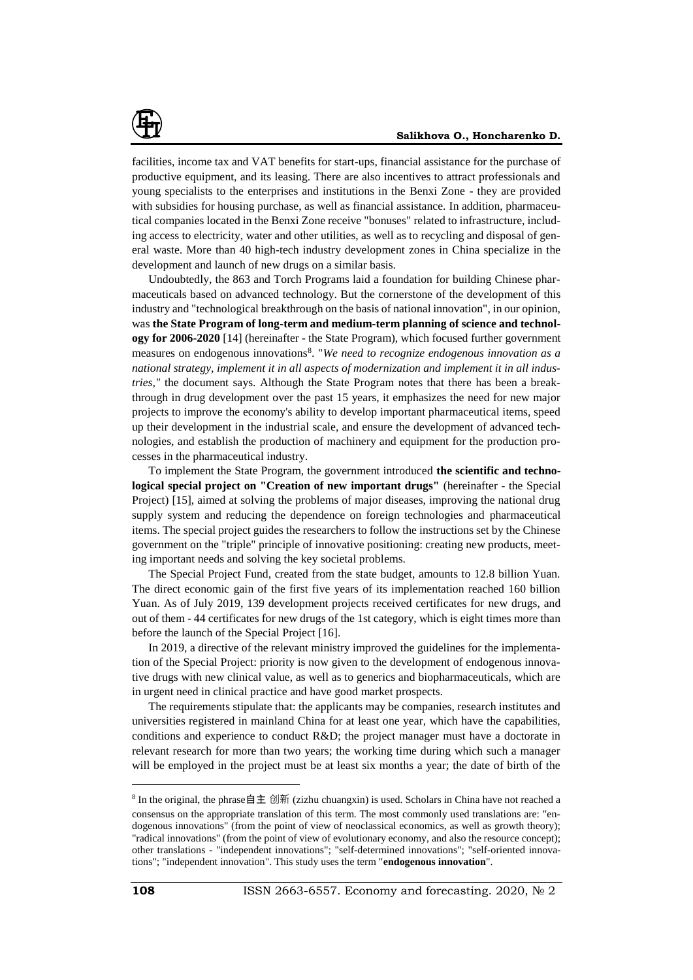

facilities, income tax and VAT benefits for start-ups, financial assistance for the purchase of productive equipment, and its leasing. There are also incentives to attract professionals and young specialists to the enterprises and institutions in the Benxi Zone - they are provided with subsidies for housing purchase, as well as financial assistance. In addition, pharmaceutical companies located in the Benxi Zone receive "bonuses" related to infrastructure, including access to electricity, water and other utilities, as well as to recycling and disposal of general waste. More than 40 high-tech industry development zones in China specialize in the development and launch of new drugs on a similar basis.

Undoubtedly, the 863 and Torch Programs laid a foundation for building Chinese pharmaceuticals based on advanced technology. But the cornerstone of the development of this industry and "technological breakthrough on the basis of national innovation", in our opinion, was **the State Program of long-term and medium-term planning of science and technology for 2006-2020** [14] (hereinafter - the State Program), which focused further government measures on endogenous innovations<sup>8</sup>. "We need to recognize endogenous innovation as a *national strategy, implement it in all aspects of modernization and implement it in all industries,"* the document says. Although the State Program notes that there has been a breakthrough in drug development over the past 15 years, it emphasizes the need for new major projects to improve the economy's ability to develop important pharmaceutical items, speed up their development in the industrial scale, and ensure the development of advanced technologies, and establish the production of machinery and equipment for the production processes in the pharmaceutical industry.

To implement the State Program, the government introduced **the scientific and technological special project on "Creation of new important drugs"** (hereinafter - the Special Project) [15], aimed at solving the problems of major diseases, improving the national drug supply system and reducing the dependence on foreign technologies and pharmaceutical items. The special project guides the researchers to follow the instructions set by the Chinese government on the "triple" principle of innovative positioning: creating new products, meeting important needs and solving the key societal problems.

The Special Project Fund, created from the state budget, amounts to 12.8 billion Yuan. The direct economic gain of the first five years of its implementation reached 160 billion Yuan. As of July 2019, 139 development projects received certificates for new drugs, and out of them - 44 certificates for new drugs of the 1st category, which is eight times more than before the launch of the Special Project [16].

In 2019, a directive of the relevant ministry improved the guidelines for the implementation of the Special Project: priority is now given to the development of endogenous innovative drugs with new clinical value, as well as to generics and biopharmaceuticals, which are in urgent need in clinical practice and have good market prospects.

The requirements stipulate that: the applicants may be companies, research institutes and universities registered in mainland China for at least one year, which have the capabilities, conditions and experience to conduct R&D; the project manager must have a doctorate in relevant research for more than two years; the working time during which such a manager will be employed in the project must be at least six months a year; the date of birth of the

 $\overline{a}$ 

<sup>&</sup>lt;sup>8</sup> In the original, the phrase自主 创新 (zizhu chuangxin) is used. Scholars in China have not reached a consensus on the appropriate translation of this term. The most commonly used translations are: "endogenous innovations" (from the point of view of neoclassical economics, as well as growth theory); "radical innovations" (from the point of view of evolutionary economy, and also the resource concept); other translations - "independent innovations"; "self-determined innovations"; "self-oriented innovations"; "independent innovation". This study uses the term "**endogenous innovation**".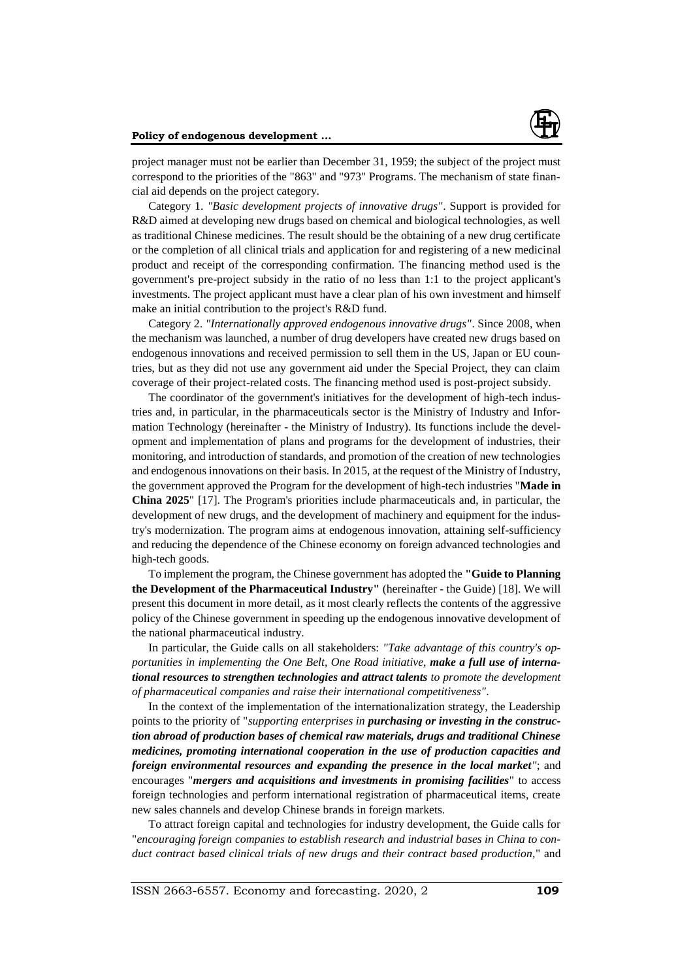

project manager must not be earlier than December 31, 1959; the subject of the project must correspond to the priorities of the "863" and "973" Programs. The mechanism of state financial aid depends on the project category.

Category 1. *"Basic development projects of innovative drugs"*. Support is provided for R&D aimed at developing new drugs based on chemical and biological technologies, as well as traditional Chinese medicines. The result should be the obtaining of a new drug certificate or the completion of all clinical trials and application for and registering of a new medicinal product and receipt of the corresponding confirmation. The financing method used is the government's pre-project subsidy in the ratio of no less than 1:1 to the project applicant's investments. The project applicant must have a clear plan of his own investment and himself make an initial contribution to the project's R&D fund.

Category 2. *"Internationally approved endogenous innovative drugs"*. Since 2008, when the mechanism was launched, a number of drug developers have created new drugs based on endogenous innovations and received permission to sell them in the US, Japan or EU countries, but as they did not use any government aid under the Special Project, they can claim coverage of their project-related costs. The financing method used is post-project subsidy.

The coordinator of the government's initiatives for the development of high-tech industries and, in particular, in the pharmaceuticals sector is the Ministry of Industry and Information Technology (hereinafter - the Ministry of Industry). Its functions include the development and implementation of plans and programs for the development of industries, their monitoring, and introduction of standards, and promotion of the creation of new technologies and endogenous innovations on their basis. In 2015, at the request of the Ministry of Industry, the government approved the Program for the development of high-tech industries "**Made in China 2025**" [17]. The Program's priorities include pharmaceuticals and, in particular, the development of new drugs, and the development of machinery and equipment for the industry's modernization. The program aims at endogenous innovation, attaining self-sufficiency and reducing the dependence of the Chinese economy on foreign advanced technologies and high-tech goods.

To implement the program, the Chinese government has adopted the **"Guide to Planning the Development of the Pharmaceutical Industry"** (hereinafter - the Guide) [18]. We will present this document in more detail, as it most clearly reflects the contents of the aggressive policy of the Chinese government in speeding up the endogenous innovative development of the national pharmaceutical industry.

In particular, the Guide calls on all stakeholders: *"Take advantage of this country's opportunities in implementing the One Belt, One Road initiative, make a full use of international resources to strengthen technologies and attract talents to promote the development of pharmaceutical companies and raise their international competitiveness".*

In the context of the implementation of the internationalization strategy, the Leadership points to the priority of "*supporting enterprises in purchasing or investing in the construction abroad of production bases of chemical raw materials, drugs and traditional Chinese medicines, promoting international cooperation in the use of production capacities and foreign environmental resources and expanding the presence in the local market"*; and encourages "*mergers and acquisitions and investments in promising facilities*" to access foreign technologies and perform international registration of pharmaceutical items, create new sales channels and develop Chinese brands in foreign markets.

To attract foreign capital and technologies for industry development, the Guide calls for "*encouraging foreign companies to establish research and industrial bases in China to conduct contract based clinical trials of new drugs and their contract based production,*" and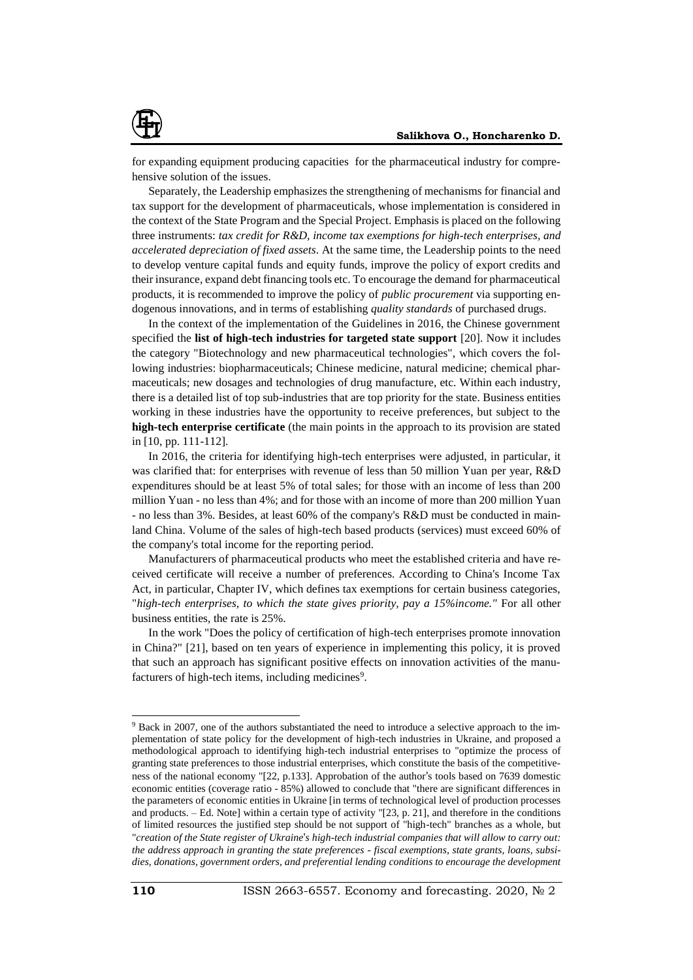

for expanding equipment producing capacities for the pharmaceutical industry for comprehensive solution of the issues.

Separately, the Leadership emphasizes the strengthening of mechanisms for financial and tax support for the development of pharmaceuticals, whose implementation is considered in the context of the State Program and the Special Project. Emphasis is placed on the following three instruments: *tax credit for R&D, income tax exemptions for high-tech enterprises, and accelerated depreciation of fixed assets*. At the same time, the Leadership points to the need to develop venture capital funds and equity funds, improve the policy of export credits and their insurance, expand debt financing tools etc. To encourage the demand for pharmaceutical products, it is recommended to improve the policy of *public procurement* via supporting endogenous innovations, and in terms of establishing *quality standards* of purchased drugs.

In the context of the implementation of the Guidelines in 2016, the Chinese government specified the **list of high-tech industries for targeted state support** [20]. Now it includes the category "Biotechnology and new pharmaceutical technologies", which covers the following industries: biopharmaceuticals; Chinese medicine, natural medicine; chemical pharmaceuticals; new dosages and technologies of drug manufacture, etc. Within each industry, there is a detailed list of top sub-industries that are top priority for the state. Business entities working in these industries have the opportunity to receive preferences, but subject to the **high-tech enterprise certificate** (the main points in the approach to its provision are stated in [10, pp. 111-112].

In 2016, the criteria for identifying high-tech enterprises were adjusted, in particular, it was clarified that: for enterprises with revenue of less than 50 million Yuan per year, R&D expenditures should be at least 5% of total sales; for those with an income of less than 200 million Yuan - no less than 4%; and for those with an income of more than 200 million Yuan - no less than 3%. Besides, at least 60% of the company's R&D must be conducted in mainland China. Volume of the sales of high-tech based products (services) must exceed 60% of the company's total income for the reporting period.

Manufacturers of pharmaceutical products who meet the established criteria and have received certificate will receive a number of preferences. According to China's Income Tax Act, in particular, Chapter IV, which defines tax exemptions for certain business categories, "*high-tech enterprises, to which the state gives priority, pay a 15%income."* For all other business entities, the rate is 25%.

In the work "Does the policy of certification of high-tech enterprises promote innovation in China?" [21], based on ten years of experience in implementing this policy, it is proved that such an approach has significant positive effects on innovation activities of the manufacturers of high-tech items, including medicines<sup>9</sup>.

l

<sup>9</sup> Back in 2007, one of the authors substantiated the need to introduce a selective approach to the implementation of state policy for the development of high-tech industries in Ukraine, and proposed a methodological approach to identifying high-tech industrial enterprises to "optimize the process of granting state preferences to those industrial enterprises, which constitute the basis of the competitiveness of the national economy "[22, p.133]. Approbation of the author's tools based on 7639 domestic economic entities (coverage ratio - 85%) allowed to conclude that "there are significant differences in the parameters of economic entities in Ukraine [in terms of technological level of production processes and products. – Ed. Note] within a certain type of activity "[23, p. 21], and therefore in the conditions of limited resources the justified step should be not support of "high-tech" branches as a whole, but "*creation of the State register of Ukraine*'*s high-tech industrial companies that will allow to carry out: the address approach in granting the state preferences - fiscal exemptions, state grants, loans, subsidies, donations, government orders, and preferential lending conditions to encourage the development*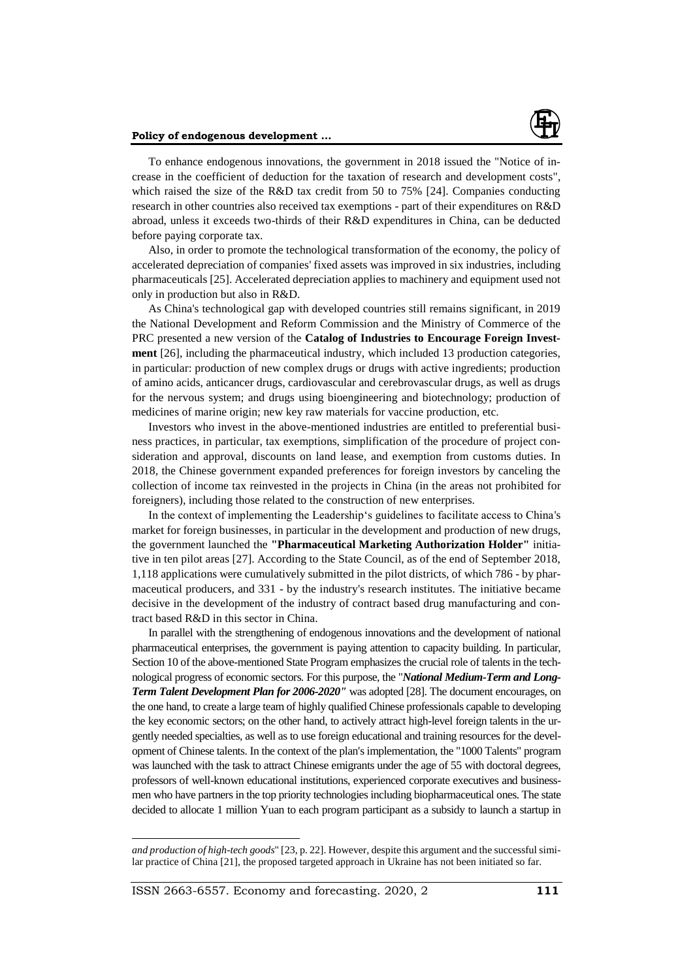

To enhance endogenous innovations, the government in 2018 issued the "Notice of increase in the coefficient of deduction for the taxation of research and development costs", which raised the size of the R&D tax credit from 50 to 75% [24]. Companies conducting research in other countries also received tax exemptions - part of their expenditures on R&D abroad, unless it exceeds two-thirds of their R&D expenditures in China, can be deducted before paying corporate tax.

Also, in order to promote the technological transformation of the economy, the policy of accelerated depreciation of companies' fixed assets was improved in six industries, including pharmaceuticals [25]. Accelerated depreciation applies to machinery and equipment used not only in production but also in R&D.

As China's technological gap with developed countries still remains significant, in 2019 the National Development and Reform Commission and the Ministry of Commerce of the PRC presented a new version of the **Catalog of Industries to Encourage Foreign Investment** [26], including the pharmaceutical industry, which included 13 production categories, in particular: production of new complex drugs or drugs with active ingredients; production of amino acids, anticancer drugs, cardiovascular and cerebrovascular drugs, as well as drugs for the nervous system; and drugs using bioengineering and biotechnology; production of medicines of marine origin; new key raw materials for vaccine production, etc.

Investors who invest in the above-mentioned industries are entitled to preferential business practices, in particular, tax exemptions, simplification of the procedure of project consideration and approval, discounts on land lease, and exemption from customs duties. In 2018, the Chinese government expanded preferences for foreign investors by canceling the collection of income tax reinvested in the projects in China (in the areas not prohibited for foreigners), including those related to the construction of new enterprises.

In the context of implementing the Leadership's guidelines to facilitate access to China's market for foreign businesses, in particular in the development and production of new drugs, the government launched the **"Pharmaceutical Marketing Authorization Holder"** initiative in ten pilot areas [27]. According to the State Council, as of the end of September 2018, 1,118 applications were cumulatively submitted in the pilot districts, of which 786 - by pharmaceutical producers, and 331 - by the industry's research institutes. The initiative became decisive in the development of the industry of contract based drug manufacturing and contract based R&D in this sector in China.

In parallel with the strengthening of endogenous innovations and the development of national pharmaceutical enterprises, the government is paying attention to capacity building. In particular, Section 10 of the above-mentioned State Program emphasizes the crucial role of talents in the technological progress of economic sectors. For this purpose, the "*National Medium-Term and Long-Term Talent Development Plan for 2006-2020"* was adopted [28]. The document encourages, on the one hand, to create a large team of highly qualified Chinese professionals capable to developing the key economic sectors; on the other hand, to actively attract high-level foreign talents in the urgently needed specialties, as well as to use foreign educational and training resources for the development of Chinese talents. In the context of the plan's implementation, the "1000 Talents" program was launched with the task to attract Chinese emigrants under the age of 55 with doctoral degrees, professors of well-known educational institutions, experienced corporate executives and businessmen who have partners in the top priority technologies including biopharmaceutical ones. The state decided to allocate 1 million Yuan to each program participant as a subsidy to launch a startup in

l

*and production of high-tech goods*" [23, p. 22]. However, despite this argument and the successful similar practice of China [21], the proposed targeted approach in Ukraine has not been initiated so far.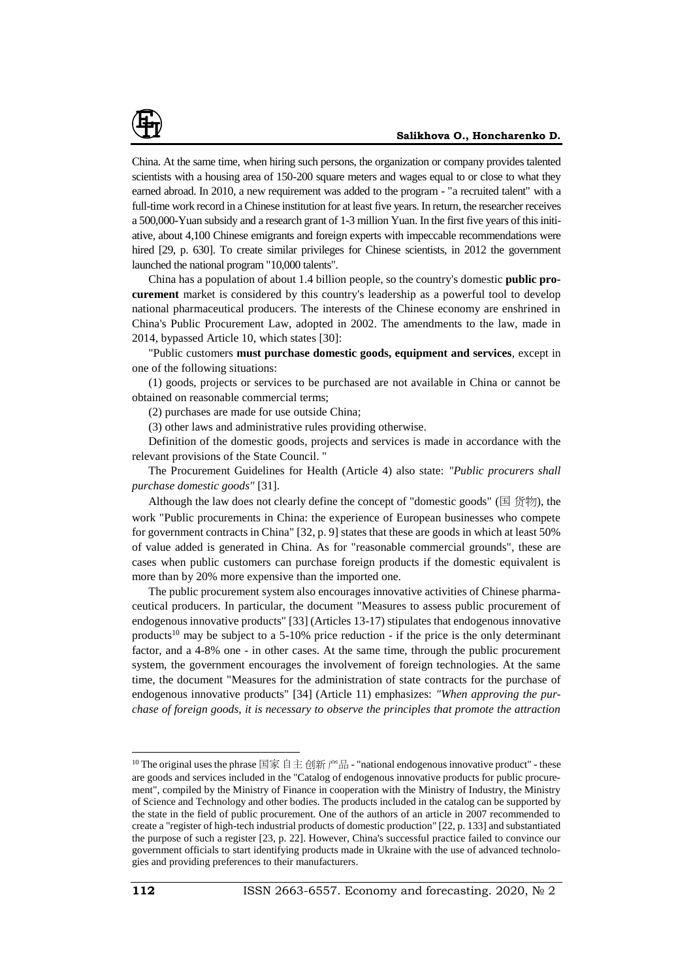

China. At the same time, when hiring such persons, the organization or company provides talented scientists with a housing area of 150-200 square meters and wages equal to or close to what they earned abroad. In 2010, a new requirement was added to the program - "a recruited talent" with a full-time work record in a Chinese institution for at least five years. In return, the researcher receives a 500,000-Yuan subsidy and a research grant of 1-3 million Yuan. In the first five years of this initiative, about 4,100 Chinese emigrants and foreign experts with impeccable recommendations were hired [29, p. 630]. To create similar privileges for Chinese scientists, in 2012 the government launched the national program "10,000 talents".

China has a population of about 1.4 billion people, so the country's domestic **public procurement** market is considered by this country's leadership as a powerful tool to develop national pharmaceutical producers. The interests of the Chinese economy are enshrined in China's Public Procurement Law, adopted in 2002. The amendments to the law, made in 2014, bypassed Article 10, which states [30]:

"Public customers **must purchase domestic goods, equipment and services**, except in one of the following situations:

(1) goods, projects or services to be purchased are not available in China or cannot be obtained on reasonable commercial terms;

(2) purchases are made for use outside China;

(3) other laws and administrative rules providing otherwise.

Definition of the domestic goods, projects and services is made in accordance with the relevant provisions of the State Council. "

The Procurement Guidelines for Health (Article 4) also state: *"Public procurers shall purchase domestic goods"* [31].

Although the law does not clearly define the concept of "domestic goods" (国 货物), the work "Public procurements in China: the experience of European businesses who compete for government contracts in China" [32, p. 9] states that these are goods in which at least 50% of value added is generated in China. As for "reasonable commercial grounds", these are cases when public customers can purchase foreign products if the domestic equivalent is more than by 20% more expensive than the imported one.

The public procurement system also encourages innovative activities of Chinese pharmaceutical producers. In particular, the document "Measures to assess public procurement of endogenous innovative products" [33] (Articles 13-17) stipulates that endogenous innovative products<sup>10</sup> may be subject to a 5-10% price reduction - if the price is the only determinant factor, and a 4-8% one - in other cases. At the same time, through the public procurement system, the government encourages the involvement of foreign technologies. At the same time, the document "Measures for the administration of state contracts for the purchase of endogenous innovative products" [34] (Article 11) emphasizes: *"When approving the purchase of foreign goods, it is necessary to observe the principles that promote the attraction* 

l

<sup>&</sup>lt;sup>10</sup> The original uses the phrase 国家 自主 创新 产品 - "national endogenous innovative product" - these are goods and services included in the "Catalog of endogenous innovative products for public procurement", compiled by the Ministry of Finance in cooperation with the Ministry of Industry, the Ministry of Science and Technology and other bodies. The products included in the catalog can be supported by the state in the field of public procurement. One of the authors of an article in 2007 recommended to create a "register of high-tech industrial products of domestic production" [22, p. 133] and substantiated the purpose of such a register [23, p. 22]. However, China's successful practice failed to convince our government officials to start identifying products made in Ukraine with the use of advanced technologies and providing preferences to their manufacturers.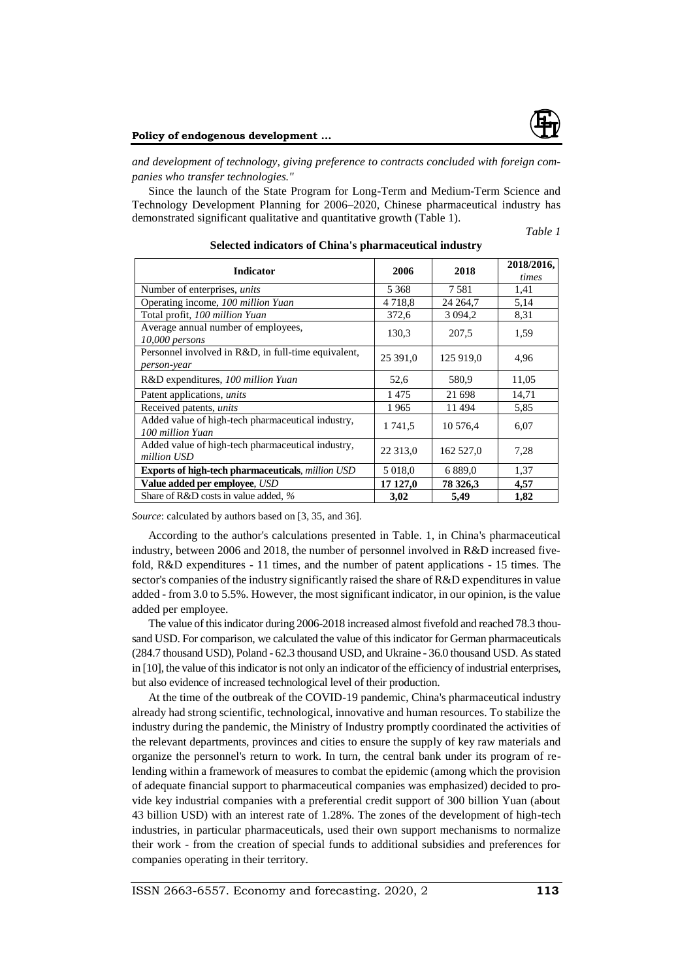

*and development of technology, giving preference to contracts concluded with foreign companies who transfer technologies."*

Since the launch of the State Program for Long-Term and Medium-Term Science and Technology Development Planning for 2006–2020, Chinese pharmaceutical industry has demonstrated significant qualitative and quantitative growth (Table 1).

*Table 1*

| <b>Indicator</b>                                                      | 2006      | 2018        | 2018/2016,<br>times |
|-----------------------------------------------------------------------|-----------|-------------|---------------------|
| Number of enterprises, <i>units</i>                                   | 5 3 6 8   | 7581        | 1,41                |
| Operating income, 100 million Yuan                                    | 4 7 1 8 8 | 24 264,7    | 5,14                |
| Total profit, 100 million Yuan                                        | 372,6     | 3 0 9 4 , 2 | 8,31                |
| Average annual number of employees,<br>10,000 persons                 | 130,3     | 207.5       | 1,59                |
| Personnel involved in R&D, in full-time equivalent,<br>person-year    | 25 391,0  | 125 919,0   | 4,96                |
| R&D expenditures, 100 million Yuan                                    | 52,6      | 580.9       | 11,05               |
| Patent applications, <i>units</i>                                     | 1475      | 21 698      | 14,71               |
| Received patents, <i>units</i>                                        | 1965      | 11494       | 5,85                |
| Added value of high-tech pharmaceutical industry,<br>100 million Yuan | 1 741,5   | 10 576,4    | 6,07                |
| Added value of high-tech pharmaceutical industry,<br>million USD      | 22 313,0  | 162 527,0   | 7,28                |
| Exports of high-tech pharmaceuticals, million USD                     | 5 018,0   | 6 8 8 9 0   | 1,37                |
| Value added per employee, USD                                         | 17 127,0  | 78 326,3    | 4,57                |
| Share of R&D costs in value added, %                                  | 3,02      | 5,49        | 1,82                |

**Selected indicators of China's pharmaceutical industry**

*Source*: calculated by authors based on [3, 35, and 36].

According to the author's calculations presented in Table. 1, in China's pharmaceutical industry, between 2006 and 2018, the number of personnel involved in R&D increased fivefold, R&D expenditures - 11 times, and the number of patent applications - 15 times. The sector's companies of the industry significantly raised the share of R&D expenditures in value added - from 3.0 to 5.5%. However, the most significant indicator, in our opinion, is the value added per employee.

The value of this indicator during 2006-2018 increased almost fivefold and reached 78.3 thousand USD. For comparison, we calculated the value of this indicator for German pharmaceuticals (284.7 thousand USD), Poland - 62.3 thousand USD, and Ukraine - 36.0 thousand USD. As stated in [10], the value of this indicator is not only an indicator of the efficiency of industrial enterprises, but also evidence of increased technological level of their production.

At the time of the outbreak of the COVID-19 pandemic, China's pharmaceutical industry already had strong scientific, technological, innovative and human resources. To stabilize the industry during the pandemic, the Ministry of Industry promptly coordinated the activities of the relevant departments, provinces and cities to ensure the supply of key raw materials and organize the personnel's return to work. In turn, the central bank under its program of relending within a framework of measures to combat the epidemic (among which the provision of adequate financial support to pharmaceutical companies was emphasized) decided to provide key industrial companies with a preferential credit support of 300 billion Yuan (about 43 billion USD) with an interest rate of 1.28%. The zones of the development of high-tech industries, in particular pharmaceuticals, used their own support mechanisms to normalize their work - from the creation of special funds to additional subsidies and preferences for companies operating in their territory.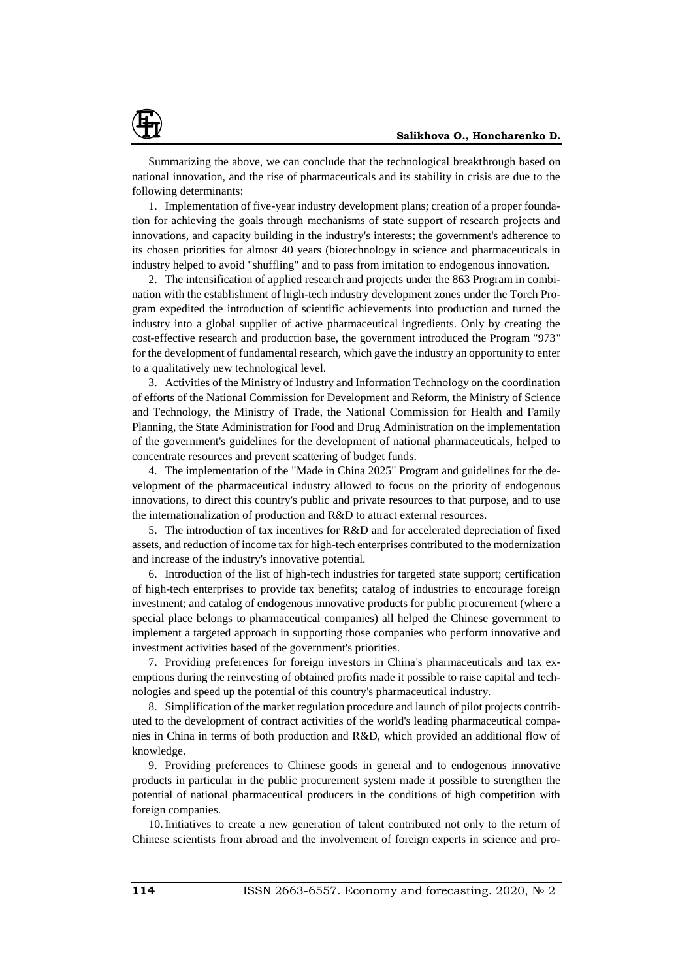

Summarizing the above, we can conclude that the technological breakthrough based on national innovation, and the rise of pharmaceuticals and its stability in crisis are due to the following determinants:

1. Implementation of five-year industry development plans; creation of a proper foundation for achieving the goals through mechanisms of state support of research projects and innovations, and capacity building in the industry's interests; the government's adherence to its chosen priorities for almost 40 years (biotechnology in science and pharmaceuticals in industry helped to avoid "shuffling" and to pass from imitation to endogenous innovation.

2. The intensification of applied research and projects under the 863 Program in combination with the establishment of high-tech industry development zones under the Torch Program expedited the introduction of scientific achievements into production and turned the industry into a global supplier of active pharmaceutical ingredients. Only by creating the cost-effective research and production base, the government introduced the Program "973" for the development of fundamental research, which gave the industry an opportunity to enter to a qualitatively new technological level.

3. Activities of the Ministry of Industry and Information Technology on the coordination of efforts of the National Commission for Development and Reform, the Ministry of Science and Technology, the Ministry of Trade, the National Commission for Health and Family Planning, the State Administration for Food and Drug Administration on the implementation of the government's guidelines for the development of national pharmaceuticals, helped to concentrate resources and prevent scattering of budget funds.

4. The implementation of the "Made in China 2025" Program and guidelines for the development of the pharmaceutical industry allowed to focus on the priority of endogenous innovations, to direct this country's public and private resources to that purpose, and to use the internationalization of production and R&D to attract external resources.

5. The introduction of tax incentives for R&D and for accelerated depreciation of fixed assets, and reduction of income tax for high-tech enterprises contributed to the modernization and increase of the industry's innovative potential.

6. Introduction of the list of high-tech industries for targeted state support; certification of high-tech enterprises to provide tax benefits; catalog of industries to encourage foreign investment; and catalog of endogenous innovative products for public procurement (where a special place belongs to pharmaceutical companies) all helped the Chinese government to implement a targeted approach in supporting those companies who perform innovative and investment activities based of the government's priorities.

7. Providing preferences for foreign investors in China's pharmaceuticals and tax exemptions during the reinvesting of obtained profits made it possible to raise capital and technologies and speed up the potential of this country's pharmaceutical industry.

8. Simplification of the market regulation procedure and launch of pilot projects contributed to the development of contract activities of the world's leading pharmaceutical companies in China in terms of both production and R&D, which provided an additional flow of knowledge.

9. Providing preferences to Chinese goods in general and to endogenous innovative products in particular in the public procurement system made it possible to strengthen the potential of national pharmaceutical producers in the conditions of high competition with foreign companies.

10.Initiatives to create a new generation of talent contributed not only to the return of Chinese scientists from abroad and the involvement of foreign experts in science and pro-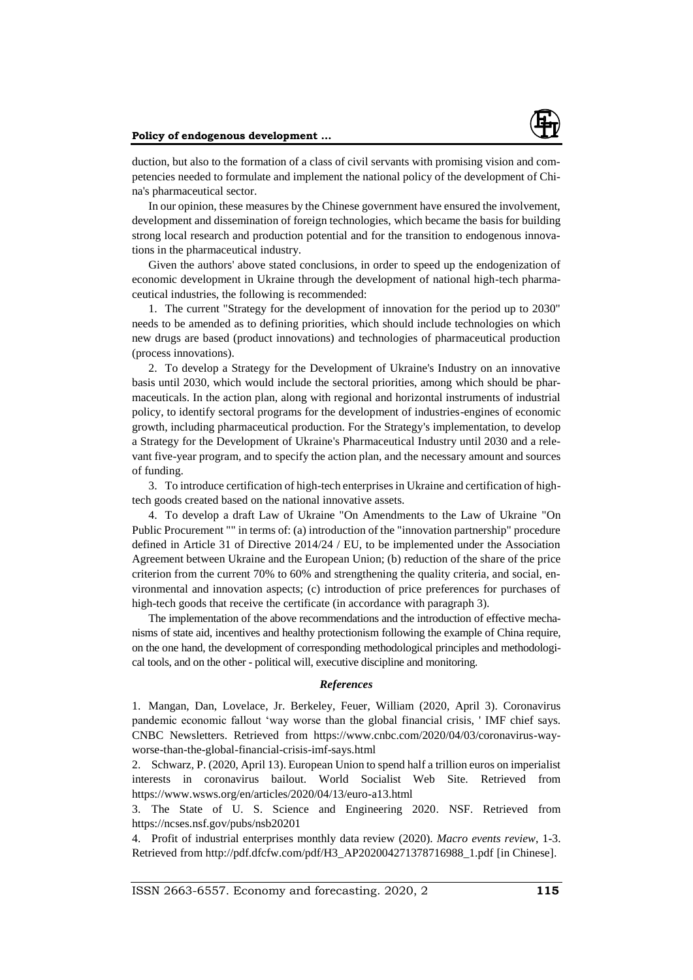

duction, but also to the formation of a class of civil servants with promising vision and competencies needed to formulate and implement the national policy of the development of China's pharmaceutical sector.

In our opinion, these measures by the Chinese government have ensured the involvement, development and dissemination of foreign technologies, which became the basis for building strong local research and production potential and for the transition to endogenous innovations in the pharmaceutical industry.

Given the authors' above stated conclusions, in order to speed up the endogenization of economic development in Ukraine through the development of national high-tech pharmaceutical industries, the following is recommended:

1. The current "Strategy for the development of innovation for the period up to 2030" needs to be amended as to defining priorities, which should include technologies on which new drugs are based (product innovations) and technologies of pharmaceutical production (process innovations).

2. To develop a Strategy for the Development of Ukraine's Industry on an innovative basis until 2030, which would include the sectoral priorities, among which should be pharmaceuticals. In the action plan, along with regional and horizontal instruments of industrial policy, to identify sectoral programs for the development of industries-engines of economic growth, including pharmaceutical production. For the Strategy's implementation, to develop a Strategy for the Development of Ukraine's Pharmaceutical Industry until 2030 and a relevant five-year program, and to specify the action plan, and the necessary amount and sources of funding.

3. To introduce certification of high-tech enterprises in Ukraine and certification of hightech goods created based on the national innovative assets.

4. To develop a draft Law of Ukraine "On Amendments to the Law of Ukraine "On Public Procurement "" in terms of: (a) introduction of the "innovation partnership" procedure defined in Article 31 of Directive 2014/24 / EU, to be implemented under the Association Agreement between Ukraine and the European Union; (b) reduction of the share of the price criterion from the current 70% to 60% and strengthening the quality criteria, and social, environmental and innovation aspects; (c) introduction of price preferences for purchases of high-tech goods that receive the certificate (in accordance with paragraph 3).

The implementation of the above recommendations and the introduction of effective mechanisms of state aid, incentives and healthy protectionism following the example of China require, on the one hand, the development of corresponding methodological principles and methodological tools, and on the other - political will, executive discipline and monitoring.

### *References*

1. Mangan, Dan, Lovelace, Jr. Berkeley, Feuer, William (2020, April 3). Coronavirus pandemic economic fallout 'way worse than the global financial crisis, ' IMF chief says. CNBC Newsletters. Retrieved from [https://www.cnbc.com/2020/04/03/coronavirus-way](https://www.cnbc.com/2020/04/03/coronavirus-way-worse-than-the-global-financial-crisis-imf-says.html)[worse-than-the-global-financial-crisis-imf-says.html](https://www.cnbc.com/2020/04/03/coronavirus-way-worse-than-the-global-financial-crisis-imf-says.html)

2. Schwarz, P. (2020, April 13). European Union to spend half a trillion euros on imperialist interests in coronavirus bailout. World Socialist Web Site. Retrieved from <https://www.wsws.org/en/articles/2020/04/13/euro-a13.html>

3. The State of U. S. Science and Engineering 2020. NSF. Retrieved from <https://ncses.nsf.gov/pubs/nsb20201>

4. Profit of industrial enterprises monthly data review (2020). *Macro events review*, 1-3. Retrieved from [http://pdf.dfcfw.com/pdf/H3\\_AP202004271378716988\\_1.pdf](http://pdf.dfcfw.com/pdf/H3_AP202004271378716988_1.pdf) [in Chinese].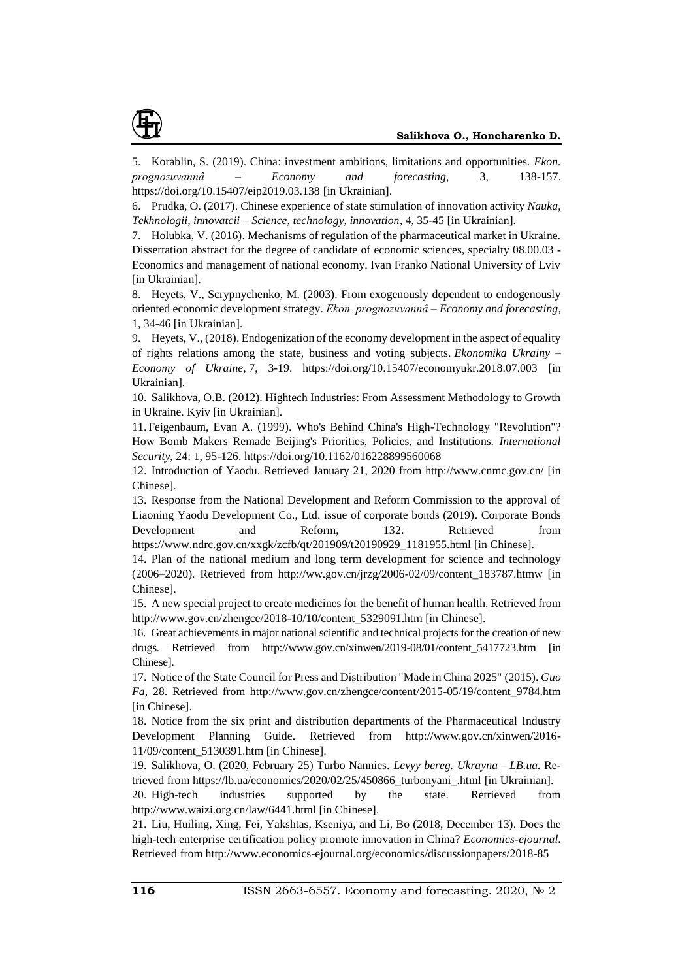

5. Korablin, S. (2019). China: investment ambitions, limitations and opportunities. *Ekon. prognozuvannâ – Economy and forecasting*, 3, 138-157. https://doi.org/10.15407/eip2019.03.138 [in Ukrainian].

6. Prudka, O. (2017). Chinese experience of state stimulation of innovation activity *Nauka, Tekhnologii, innovatcii – Science, technology, innovation*, 4, 35-45 [in Ukrainian].

7. Holubka, V. (2016). Mechanisms of regulation of the pharmaceutical market in Ukraine. Dissertation abstract for the degree of candidate of economic sciences, specialty 08.00.03 - Economics and management of national economy. Ivan Franko National University of Lviv [in Ukrainian].

8. Heyets, V., Scrypnychenko, M. (2003). From exogenously dependent to endogenously oriented economic development strategy. *Ekon. prognozuvannâ – Economy and forecasting*, 1, 34-46 [in Ukrainian].

9. Heyets, V., (2018). Endogenization of the economy development in the aspect of equality of rights relations among the state, business and voting subjects. *Ekonomika Ukrainy – Economy of Ukraine,* 7, 3-19. https://doi.org/10.15407/economyukr.2018.07.003 [in Ukrainian].

10. Salikhova, O.B. (2012). Hightech Industries: From Assessment Methodology to Growth in Ukraine. Kyiv [in Ukrainian].

11. Feigenbaum, Evan A. (1999). Who's Behind China's High-Technology "Revolution"? How Bomb Makers Remade Beijing's Priorities, Policies, and Institutions. *International Security*, 24: 1, 95-126. https://doi.org/10.1162/016228899560068

12. Introduction of Yaodu. Retrieved January 21, 2020 from <http://www.cnmc.gov.cn/> [in Chinese].

13. Response from the National Development and Reform Commission to the approval of Liaoning Yaodu Development Co., Ltd. issue of corporate bonds (2019). Corporate Bonds Development and Reform, 132. Retrieved from [https://www.ndrc.gov.cn/xxgk/zcfb/qt/201909/t20190929\\_1181955.html](https://www.ndrc.gov.cn/xxgk/zcfb/qt/201909/t20190929_1181955.html) [in Chinese].

14. Plan of the national medium and long term development for science and technology (2006–2020). Retrieved from [http://ww.gov.cn/jrzg/2006-02/09/content\\_183787.htmw](http://ww.gov.cn/jrzg/2006-02/09/content_183787.htmw) [in Chinese].

15. A new special project to create medicines for the benefit of human health. Retrieved from [http://www.gov.cn/zhengce/2018-10/10/content\\_5329091.htm](http://www.gov.cn/zhengce/2018-10/10/content_5329091.htm) [in Chinese].

16. Great achievements in major national scientific and technical projects for the creation of new drugs. Retrieved from [http://www.gov.cn/xinwen/2019-08/01/content\\_5417723.htm](http://www.gov.cn/xinwen/2019-08/01/content_5417723.htm) [in Chinese].

17. Notice of the State Council for Press and Distribution "Made in China 2025" (2015). *Guo Fa*, 28. Retrieved from [http://www.gov.cn/zhengce/content/2015-05/19/content\\_9784.htm](http://www.gov.cn/zhengce/content/2015-05/19/content_9784.htm) [in Chinese].

18. Notice from the six print and distribution departments of the Pharmaceutical Industry Development Planning Guide. Retrieved from [http://www.gov.cn/xinwen/2016-](http://www.gov.cn/xinwen/2016-11/09/content_5130391.htm) [11/09/content\\_5130391.htm](http://www.gov.cn/xinwen/2016-11/09/content_5130391.htm) [in Chinese].

19. Salikhova, O. (2020, February 25) Turbo Nannies. *Levyy bereg. Ukrayna – LB.ua.* Retrieved from [https://lb.ua/economics/2020/02/25/450866\\_turbonyani\\_.html](https://lb.ua/economics/2020/02/25/450866_turbonyani_.html) [in Ukrainian].

20. High-tech industries supported by the state. Retrieved from <http://www.waizi.org.cn/law/6441.html> [in Chinese].

21. Liu, Huiling, Xing, Fei, Yakshtas, Kseniya, and Li, Bo (2018, December 13). Does the high-tech enterprise certification policy promote innovation in China? *Economics-ejournal*. Retrieved from <http://www.economics-ejournal.org/economics/discussionpapers/2018-85>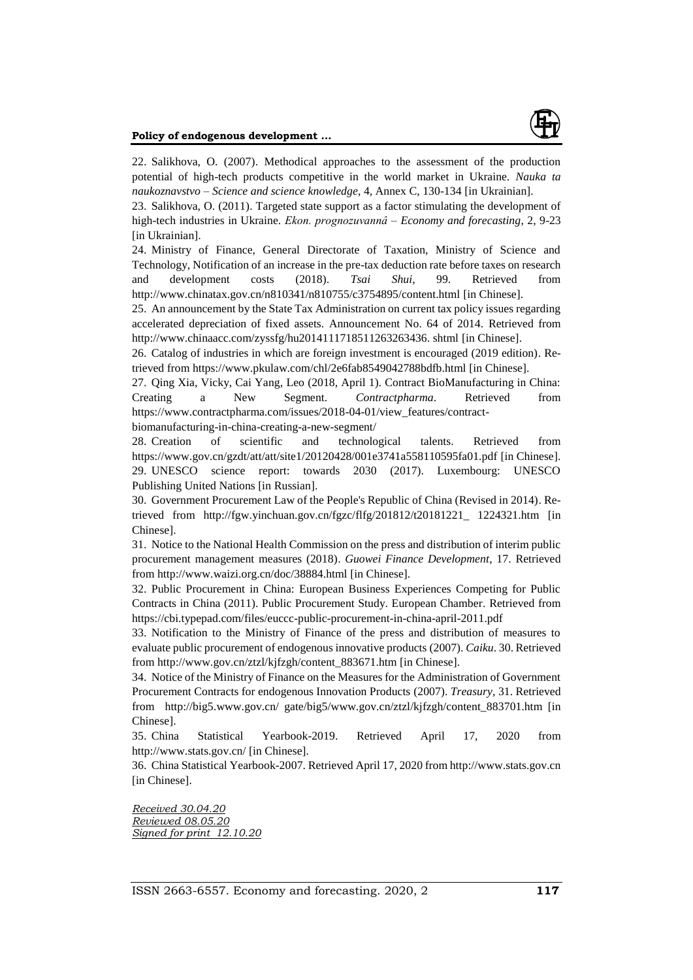

22. Salikhova, O. (2007). Methodical approaches to the assessment of the production potential of high-tech products competitive in the world market in Ukraine. *Nauka ta naukoznavstvo – Science and science knowledge*, 4, Annex C, 130-134 [in Ukrainian].

23. Salikhova, O. (2011). Targeted state support as a factor stimulating the development of high-tech industries in Ukraine. *Ekon. prognozuvannâ – Economy and forecasting*, 2, 9-23 [in Ukrainian].

24. Ministry of Finance, General Directorate of Taxation, Ministry of Science and Technology, Notification of an increase in the pre-tax deduction rate before taxes on research and development costs (2018). *Tsai Shui*, 99. Retrieved from <http://www.chinatax.gov.cn/n810341/n810755/c3754895/content.html> [in Chinese].

25. An announcement by the State Tax Administration on current tax policy issues regarding accelerated depreciation of fixed assets. Announcement No. 64 of 2014. Retrieved from http://www.chinaacc.com/zyssfg/hu2014111718511263263436. shtml [in Chinese].

26. Catalog of industries in which are foreign investment is encouraged (2019 edition). Retrieved from <https://www.pkulaw.com/chl/2e6fab8549042788bdfb.html> [in Chinese].

27. Qing Xia, Vicky, Cai Yang, Leo (2018, April 1). Contract BioManufacturing in China: Creating a New Segment. *Contractpharma*. Retrieved from [https://www.contractpharma.com/issues/2018-04-01/view\\_features/contract-](https://www.contractpharma.com/issues/2018-04-01/view_features/contract-biomanufacturing-in-china-creating-a-new-segment/)

[biomanufacturing-in-china-creating-a-new-segment/](https://www.contractpharma.com/issues/2018-04-01/view_features/contract-biomanufacturing-in-china-creating-a-new-segment/)

28. Creation of scientific and technological talents. Retrieved from https://www.gov.cn/gzdt/att/att/site1/20120428/001e3741a558110595fa01.pdf [in Chinese]. 29. UNESCO science report: towards 2030 (2017). Luxembourg: UNESCO Publishing United Nations [in Russian].

30. Government Procurement Law of the People's Republic of China (Revised in 2014). Retrieved from http://fgw.yinchuan.gov.cn/fgzc/flfg/201812/t20181221\_ 1224321.htm [in Chinese].

31. Notice to the National Health Commission on the press and distribution of interim public procurement management measures (2018). *Guowei Finance Development*, 17. Retrieved from <http://www.waizi.org.cn/doc/38884.html> [in Chinese].

32. Public Procurement in China: European Business Experiences Competing for Public Contracts in China (2011). Public Procurement Study. European Chamber. Retrieved from https://cbi.typepad.com/files/euccc-public-procurement-in-china-april-2011.pdf

33. Notification to the Ministry of Finance of the press and distribution of measures to evaluate public procurement of endogenous innovative products (2007). *Caiku*. 30. Retrieved from [http://www.gov.cn/ztzl/kjfzgh/content\\_883671.htm](http://www.gov.cn/ztzl/kjfzgh/content_883671.htm) [in Chinese].

34. Notice of the Ministry of Finance on the Measures for the Administration of Government Procurement Contracts for endogenous Innovation Products (2007). *Treasury,* 31. Retrieved from http://big5.www.gov.cn/ gate/big5/www.gov.cn/ztzl/kjfzgh/content\_883701.htm [in Chinese].

35. China Statistical Yearbook-2019. Retrieved April 17, 2020 from [http://www.stats.gov.cn/](http://www.stats.gov.cn/tjsj/ndsj/2019/indexch.htm) [in Chinese].

36. China Statistical Yearbook-2007. Retrieved April 17, 2020 from [http://www.stats.gov.cn](http://www.stats.gov.cn/tjsj/ndsj/2007/indexeh.htm) [in Chinese].

*Received 30.04.20 Reviewed 08.05.20 Signed for print 12.10.20*

ISSN 2663-6557. Economy and forecasting. 2020, 2 **117**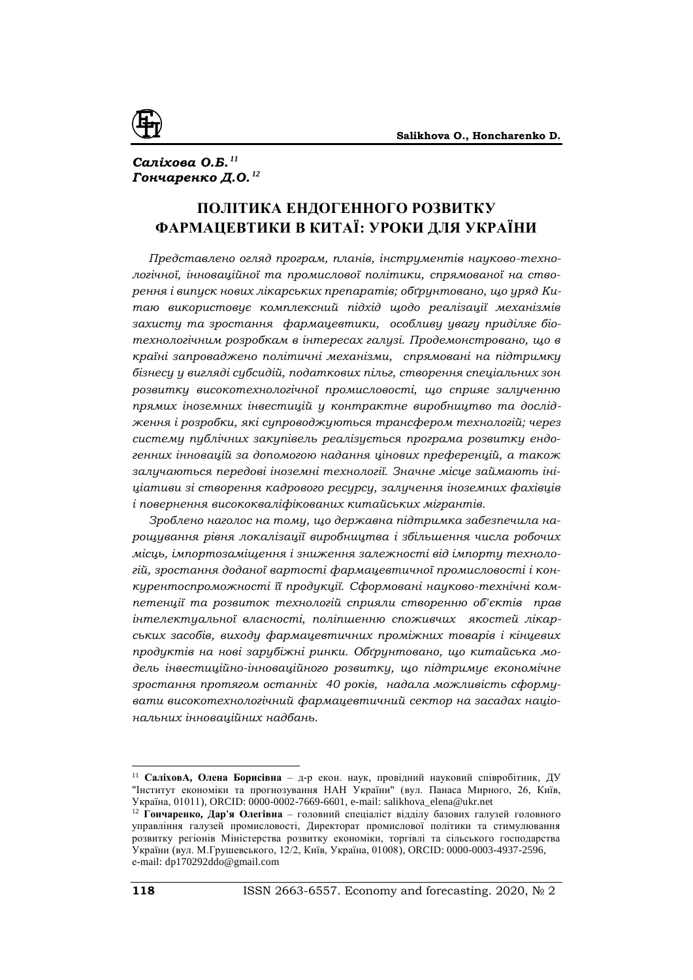

# *Саліхова О.Б. <sup>11</sup> Гончаренко Д.О. <sup>12</sup>*

# **ПОЛІТИКА ЕНДОГЕННОГО РОЗВИТКУ ФАРМАЦЕВТИКИ В КИТАЇ: УРОКИ ДЛЯ УКРАЇНИ**

*Представлено огляд програм, планів, інструментів науково-технологічної, інноваційної та промислової політики, спрямованої на створення і випуск нових лікарських препаратів; обґрунтовано, що уряд Китаю використовує комплексний підхід щодо реалізації механізмів захисту та зростання фармацевтики, особливу увагу приділяє біотехнологічним розробкам в інтересах галузі. Продемонстровано, що в країні запроваджено політичні механізми, спрямовані на підтримку бізнесу у вигляді субсидій, податкових пільг, створення спеціальних зон розвитку високотехнологічної промисловості, що сприяє залученню прямих іноземних інвестицій у контрактне виробництво та дослідження і розробки, які супроводжуються трансфером технологій; через систему публічних закупівель реалізується програма розвитку ендогенних інновацій за допомогою надання цінових преференцій, а також залучаються передові іноземні технології. Значне місце займають ініціативи зі створення кадрового ресурсу, залучення іноземних фахівців і повернення висококваліфікованих китайських мігрантів.*

*Зроблено наголос на тому, що державна підтримка забезпечила нарощування рівня локалізації виробництва і збільшення числа робочих місць, імпортозаміщення і зниження залежності від імпорту технологій, зростання доданої вартості фармацевтичної промисловості і конкурентоспроможності її продукції. Сформовані науково-технічні компетенції та розвиток технологій сприяли створенню об'єктів прав інтелектуальної власності, поліпшенню споживчих якостей лікарських засобів, виходу фармацевтичних проміжних товарів і кінцевих продуктів на нові зарубіжні ринки. Обґрунтовано, що китайська модель інвестиційно-інноваційного розвитку, що підтримує економічне зростання протягом останніх 40 років, надала можливість сформувати високотехнологічний фармацевтичний сектор на засадах національних інноваційних надбань.*

<sup>11</sup> **СаліховА, Олена Борисівна** – д-р екон. наук, провідний науковий співробітник, ДУ "Інститут економіки та прогнозування НАН України" (вул. Панаса Мирного, 26, Київ, Україна, 01011), ORCID: 0000-0002-7669-6601, e-mail: salikhova\_elena@ukr.net

<sup>12</sup> **Гончаренко, Дар'я Олегівна** – головний спеціаліст відділу базових галузей головного управління галузей промисловості, Директорат промислової політики та стимулювання розвитку регіонів Міністерства розвитку економіки, торгівлі та сільського господарства України (вул. М.Грушевського, 12/2, Київ, Україна, 01008), ORCID: 0000-0003-4937-2596, е-mail: dp170292ddo@gmail.com